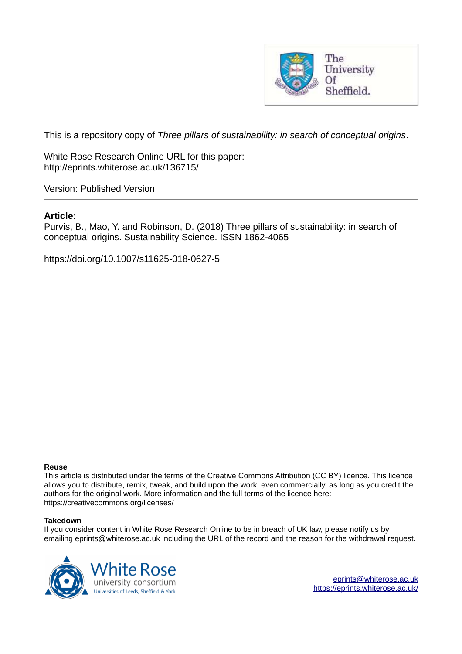

This is a repository copy of *Three pillars of sustainability: in search of conceptual origins*.

White Rose Research Online URL for this paper: http://eprints.whiterose.ac.uk/136715/

Version: Published Version

# **Article:**

Purvis, B., Mao, Y. and Robinson, D. (2018) Three pillars of sustainability: in search of conceptual origins. Sustainability Science. ISSN 1862-4065

https://doi.org/10.1007/s11625-018-0627-5

## **Reuse**

This article is distributed under the terms of the Creative Commons Attribution (CC BY) licence. This licence allows you to distribute, remix, tweak, and build upon the work, even commercially, as long as you credit the authors for the original work. More information and the full terms of the licence here: https://creativecommons.org/licenses/

## **Takedown**

If you consider content in White Rose Research Online to be in breach of UK law, please notify us by emailing eprints@whiterose.ac.uk including the URL of the record and the reason for the withdrawal request.



[eprints@whiterose.ac.uk](mailto:eprints@whiterose.ac.uk) <https://eprints.whiterose.ac.uk/>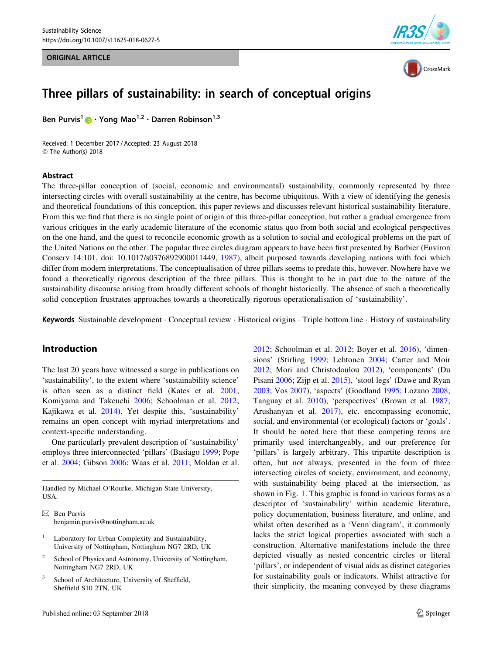#### <span id="page-1-0"></span>ORIGINAL ARTICLE





# Three pillars of sustainability: in search of conceptual origins

Ben Purvis<sup>[1](http://orcid.org/0000-0001-8883-5472)</sup> • Yong Mao<sup>1,2</sup> · Darren Robinson<sup>1,3</sup>

Received: 1 December 2017 / Accepted: 23 August 2018 © The Author(s) 2018

### Abstract

The three-pillar conception of (social, economic and environmental) sustainability, commonly represented by three intersecting circles with overall sustainability at the centre, has become ubiquitous. With a view of identifying the genesis and theoretical foundations of this conception, this paper reviews and discusses relevant historical sustainability literature. From this we find that there is no single point of origin of this three-pillar conception, but rather a gradual emergence from various critiques in the early academic literature of the economic status quo from both social and ecological perspectives on the one hand, and the quest to reconcile economic growth as a solution to social and ecological problems on the part of the United Nations on the other. The popular three circles diagram appears to have been first presented by Barbier (Environ Conserv 14:101, doi: 10.1017/s0376892900011449, [1987\)](#page-11-0), albeit purposed towards developing nations with foci which differ from modern interpretations. The conceptualisation of three pillars seems to predate this, however. Nowhere have we found a theoretically rigorous description of the three pillars. This is thought to be in part due to the nature of the sustainability discourse arising from broadly different schools of thought historically. The absence of such a theoretically solid conception frustrates approaches towards a theoretically rigorous operationalisation of 'sustainability'.

Keywords Sustainable development · Conceptual review · Historical origins · Triple bottom line · History of sustainability

# Introduction

The last 20 years have witnessed a surge in publications on 'sustainability', to the extent where 'sustainability science' is often seen as a distinct field (Kates et al. [2001](#page-13-0); Komiyama and Takeuchi [2006;](#page-13-0) Schoolman et al. [2012](#page-13-0); Kajikawa et al. [2014](#page-13-0)). Yet despite this, 'sustainability' remains an open concept with myriad interpretations and context-specific understanding.

One particularly prevalent description of 'sustainability' employs three interconnected 'pillars' (Basiago [1999;](#page-11-0) Pope et al. [2004;](#page-13-0) Gibson [2006;](#page-12-0) Waas et al. [2011](#page-14-0); Moldan et al.

Handled by Michael O'Rourke, Michigan State University, USA.

- 1 Laboratory for Urban Complexity and Sustainability, University of Nottingham, Nottingham NG7 2RD, UK
- 2 School of Physics and Astronomy, University of Nottingham, Nottingham NG7 2RD, UK
- 3 School of Architecture, University of Sheffield, Sheffield S10 2TN, UK

[2012](#page-13-0); Schoolman et al. [2012;](#page-13-0) Boyer et al. [2016](#page-12-0)), 'dimensions' (Stirling [1999](#page-13-0); Lehtonen [2004;](#page-13-0) Carter and Moir [2012](#page-12-0); Mori and Christodoulou [2012\)](#page-13-0), 'components' (Du Pisani [2006](#page-12-0); Zijp et al. [2015\)](#page-14-0), 'stool legs' (Dawe and Ryan [2003](#page-12-0); Vos [2007](#page-14-0)), 'aspects' (Goodland [1995](#page-12-0); Lozano [2008](#page-13-0); Tanguay et al. [2010\)](#page-13-0), 'perspectives' (Brown et al. [1987](#page-12-0); Arushanyan et al. [2017\)](#page-11-0), etc. encompassing economic, social, and environmental (or ecological) factors or 'goals'. It should be noted here that these competing terms are primarily used interchangeably, and our preference for 'pillars' is largely arbitrary. This tripartite description is often, but not always, presented in the form of three intersecting circles of society, environment, and economy, with sustainability being placed at the intersection, as shown in Fig. 1. This graphic is found in various forms as a descriptor of 'sustainability' within academic literature, policy documentation, business literature, and online, and whilst often described as a 'Venn diagram', it commonly lacks the strict logical properties associated with such a construction. Alternative manifestations include the three depicted visually as nested concentric circles or literal 'pillars', or independent of visual aids as distinct categories for sustainability goals or indicators. Whilst attractive for their simplicity, the meaning conveyed by these diagrams

 $\boxtimes$  Ben Purvis benjamin.purvis@nottingham.ac.uk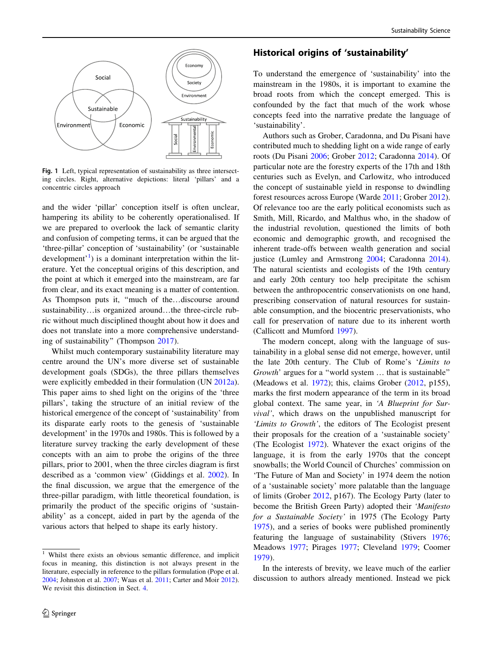

Fig. 1 Left, typical representation of sustainability as three intersecting circles. Right, alternative depictions: literal 'pillars' and a concentric circles approach

and the wider 'pillar' conception itself is often unclear, hampering its ability to be coherently operationalised. If we are prepared to overlook the lack of semantic clarity and confusion of competing terms, it can be argued that the 'three-pillar' conception of 'sustainability' (or 'sustainable development'<sup>[1](#page-1-0)</sup>) is a dominant interpretation within the literature. Yet the conceptual origins of this description, and the point at which it emerged into the mainstream, are far from clear, and its exact meaning is a matter of contention. As Thompson puts it, ''much of the…discourse around sustainability…is organized around…the three-circle rubric without much disciplined thought about how it does and does not translate into a more comprehensive understanding of sustainability'' (Thompson [2017](#page-13-0)).

Whilst much contemporary sustainability literature may centre around the UN's more diverse set of sustainable development goals (SDGs), the three pillars themselves were explicitly embedded in their formulation (UN [2012a](#page-14-0)). This paper aims to shed light on the origins of the 'three pillars', taking the structure of an initial review of the historical emergence of the concept of 'sustainability' from its disparate early roots to the genesis of 'sustainable development' in the 1970s and 1980s. This is followed by a literature survey tracking the early development of these concepts with an aim to probe the origins of the three pillars, prior to 2001, when the three circles diagram is first described as a 'common view' (Giddings et al. [2002](#page-12-0)). In the final discussion, we argue that the emergence of the three-pillar paradigm, with little theoretical foundation, is primarily the product of the specific origins of 'sustainability' as a concept, aided in part by the agenda of the various actors that helped to shape its early history.

### Historical origins of 'sustainability'

To understand the emergence of 'sustainability' into the mainstream in the 1980s, it is important to examine the broad roots from which the concept emerged. This is confounded by the fact that much of the work whose concepts feed into the narrative predate the language of 'sustainability'.

Authors such as Grober, Caradonna, and Du Pisani have contributed much to shedding light on a wide range of early roots (Du Pisani [2006](#page-12-0); Grober [2012;](#page-12-0) Caradonna [2014\)](#page-12-0). Of particular note are the forestry experts of the 17th and 18th centuries such as Evelyn, and Carlowitz, who introduced the concept of sustainable yield in response to dwindling forest resources across Europe (Warde [2011;](#page-14-0) Grober [2012](#page-12-0)). Of relevance too are the early political economists such as Smith, Mill, Ricardo, and Malthus who, in the shadow of the industrial revolution, questioned the limits of both economic and demographic growth, and recognised the inherent trade-offs between wealth generation and social justice (Lumley and Armstrong [2004](#page-13-0); Caradonna [2014](#page-12-0)). The natural scientists and ecologists of the 19th century and early 20th century too help precipitate the schism between the anthropocentric conservationists on one hand, prescribing conservation of natural resources for sustainable consumption, and the biocentric preservationists, who call for preservation of nature due to its inherent worth (Callicott and Mumford [1997\)](#page-12-0).

The modern concept, along with the language of sustainability in a global sense did not emerge, however, until the late 20th century. The Club of Rome's 'Limits to Growth' argues for a "world system ... that is sustainable" (Meadows et al. [1972](#page-13-0)); this, claims Grober [\(2012](#page-12-0), p155), marks the first modern appearance of the term in its broad global context. The same year, in 'A Blueprint for Survival', which draws on the unpublished manuscript for 'Limits to Growth', the editors of The Ecologist present their proposals for the creation of a 'sustainable society' (The Ecologist [1972\)](#page-12-0). Whatever the exact origins of the language, it is from the early 1970s that the concept snowballs; the World Council of Churches' commission on 'The Future of Man and Society' in 1974 deem the notion of a 'sustainable society' more palatable than the language of limits (Grober [2012](#page-12-0), p167). The Ecology Party (later to become the British Green Party) adopted their 'Manifesto for a Sustainable Society' in 1975 (The Ecology Party [1975](#page-13-0)), and a series of books were published prominently featuring the language of sustainability (Stivers [1976](#page-13-0); Meadows [1977;](#page-13-0) Pirages [1977](#page-13-0); Cleveland [1979](#page-12-0); Coomer [1979](#page-12-0)).

In the interests of brevity, we leave much of the earlier discussion to authors already mentioned. Instead we pick

 $\frac{1}{1}$  Whilst there exists an obvious semantic difference, and implicit focus in meaning, this distinction is not always present in the literature, especially in reference to the pillars formulation (Pope et al. [2004;](#page-13-0) Johnston et al. [2007;](#page-13-0) Waas et al. [2011](#page-14-0); Carter and Moir [2012](#page-12-0)). We revisit this distinction in Sect. [4.](#page-8-0)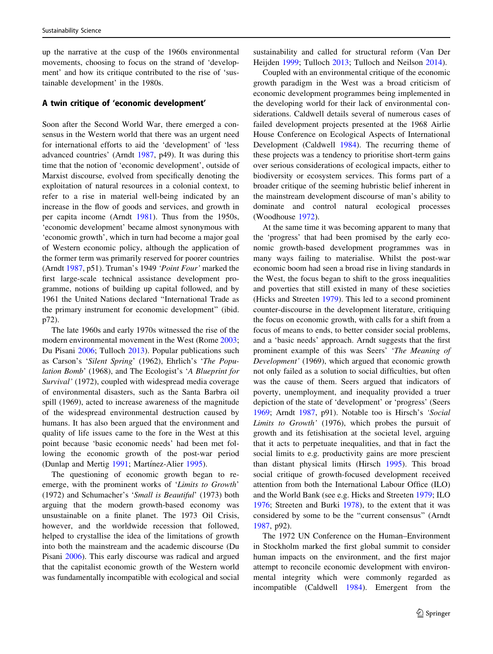up the narrative at the cusp of the 1960s environmental movements, choosing to focus on the strand of 'development' and how its critique contributed to the rise of 'sustainable development' in the 1980s.

### A twin critique of 'economic development'

Soon after the Second World War, there emerged a consensus in the Western world that there was an urgent need for international efforts to aid the 'development' of 'less advanced countries' (Arndt [1987](#page-11-0), p49). It was during this time that the notion of 'economic development', outside of Marxist discourse, evolved from specifically denoting the exploitation of natural resources in a colonial context, to refer to a rise in material well-being indicated by an increase in the flow of goods and services, and growth in per capita income (Arndt [1981\)](#page-11-0). Thus from the 1950s, 'economic development' became almost synonymous with 'economic growth', which in turn had become a major goal of Western economic policy, although the application of the former term was primarily reserved for poorer countries (Arndt [1987,](#page-11-0) p51). Truman's 1949 'Point Four' marked the first large-scale technical assistance development programme, notions of building up capital followed, and by 1961 the United Nations declared ''International Trade as the primary instrument for economic development'' (ibid. p72).

The late 1960s and early 1970s witnessed the rise of the modern environmental movement in the West (Rome [2003](#page-13-0); Du Pisani [2006](#page-12-0); Tulloch [2013\)](#page-13-0). Popular publications such as Carson's 'Silent Spring' (1962), Ehrlich's 'The Population Bomb' (1968), and The Ecologist's 'A Blueprint for Survival' (1972), coupled with widespread media coverage of environmental disasters, such as the Santa Barbra oil spill (1969), acted to increase awareness of the magnitude of the widespread environmental destruction caused by humans. It has also been argued that the environment and quality of life issues came to the fore in the West at this point because 'basic economic needs' had been met following the economic growth of the post-war period (Dunlap and Mertig [1991](#page-12-0); Martínez-Alier [1995\)](#page-13-0).

The questioning of economic growth began to reemerge, with the prominent works of 'Limits to Growth' (1972) and Schumacher's 'Small is Beautiful' (1973) both arguing that the modern growth-based economy was unsustainable on a finite planet. The 1973 Oil Crisis, however, and the worldwide recession that followed, helped to crystallise the idea of the limitations of growth into both the mainstream and the academic discourse (Du Pisani [2006\)](#page-12-0). This early discourse was radical and argued that the capitalist economic growth of the Western world was fundamentally incompatible with ecological and social sustainability and called for structural reform (Van Der Heijden [1999](#page-14-0); Tulloch [2013;](#page-13-0) Tulloch and Neilson [2014\)](#page-13-0).

Coupled with an environmental critique of the economic growth paradigm in the West was a broad criticism of economic development programmes being implemented in the developing world for their lack of environmental considerations. Caldwell details several of numerous cases of failed development projects presented at the 1968 Airlie House Conference on Ecological Aspects of International Development (Caldwell [1984\)](#page-12-0). The recurring theme of these projects was a tendency to prioritise short-term gains over serious considerations of ecological impacts, either to biodiversity or ecosystem services. This forms part of a broader critique of the seeming hubristic belief inherent in the mainstream development discourse of man's ability to dominate and control natural ecological processes (Woodhouse [1972](#page-14-0)).

At the same time it was becoming apparent to many that the 'progress' that had been promised by the early economic growth-based development programmes was in many ways failing to materialise. Whilst the post-war economic boom had seen a broad rise in living standards in the West, the focus began to shift to the gross inequalities and poverties that still existed in many of these societies (Hicks and Streeten [1979](#page-12-0)). This led to a second prominent counter-discourse in the development literature, critiquing the focus on economic growth, with calls for a shift from a focus of means to ends, to better consider social problems, and a 'basic needs' approach. Arndt suggests that the first prominent example of this was Seers' 'The Meaning of Development' (1969), which argued that economic growth not only failed as a solution to social difficulties, but often was the cause of them. Seers argued that indicators of poverty, unemployment, and inequality provided a truer depiction of the state of 'development' or 'progress' (Seers [1969](#page-13-0); Arndt [1987](#page-11-0), p91). Notable too is Hirsch's 'Social Limits to Growth' (1976), which probes the pursuit of growth and its fetishisation at the societal level, arguing that it acts to perpetuate inequalities, and that in fact the social limits to e.g. productivity gains are more prescient than distant physical limits (Hirsch [1995\)](#page-12-0). This broad social critique of growth-focused development received attention from both the International Labour Office (ILO) and the World Bank (see e.g. Hicks and Streeten [1979](#page-12-0); ILO [1976](#page-12-0); Streeten and Burki [1978](#page-13-0)), to the extent that it was considered by some to be the ''current consensus'' (Arndt [1987](#page-11-0), p92).

The 1972 UN Conference on the Human–Environment in Stockholm marked the first global summit to consider human impacts on the environment, and the first major attempt to reconcile economic development with environmental integrity which were commonly regarded as incompatible (Caldwell [1984\)](#page-12-0). Emergent from the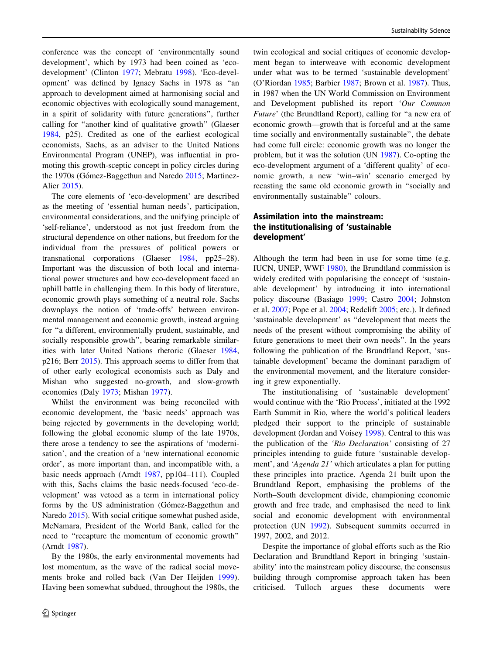conference was the concept of 'environmentally sound development', which by 1973 had been coined as 'ecodevelopment' (Clinton [1977](#page-12-0); Mebratu [1998](#page-13-0)). 'Eco-development' was defined by Ignacy Sachs in 1978 as ''an approach to development aimed at harmonising social and economic objectives with ecologically sound management, in a spirit of solidarity with future generations'', further calling for ''another kind of qualitative growth'' (Glaeser [1984,](#page-12-0) p25). Credited as one of the earliest ecological economists, Sachs, as an adviser to the United Nations Environmental Program (UNEP), was influential in promoting this growth-sceptic concept in policy circles during the 1970s (Gómez-Baggethun and Naredo [2015](#page-12-0); Martinez-Alier [2015\)](#page-13-0).

The core elements of 'eco-development' are described as the meeting of 'essential human needs', participation, environmental considerations, and the unifying principle of 'self-reliance', understood as not just freedom from the structural dependence on other nations, but freedom for the individual from the pressures of political powers or transnational corporations (Glaeser [1984](#page-12-0), pp25–28). Important was the discussion of both local and international power structures and how eco-development faced an uphill battle in challenging them. In this body of literature, economic growth plays something of a neutral role. Sachs downplays the notion of 'trade-offs' between environmental management and economic growth, instead arguing for ''a different, environmentally prudent, sustainable, and socially responsible growth'', bearing remarkable similarities with later United Nations rhetoric (Glaeser [1984,](#page-12-0) p216; Berr [2015\)](#page-12-0). This approach seems to differ from that of other early ecological economists such as Daly and Mishan who suggested no-growth, and slow-growth economies (Daly [1973](#page-12-0); Mishan [1977\)](#page-13-0).

Whilst the environment was being reconciled with economic development, the 'basic needs' approach was being rejected by governments in the developing world; following the global economic slump of the late 1970s, there arose a tendency to see the aspirations of 'modernisation', and the creation of a 'new international economic order', as more important than, and incompatible with, a basic needs approach (Arndt [1987,](#page-11-0) pp104–111). Coupled with this, Sachs claims the basic needs-focused 'eco-development' was vetoed as a term in international policy forms by the US administration (Gómez-Baggethun and Naredo [2015\)](#page-12-0). With social critique somewhat pushed aside, McNamara, President of the World Bank, called for the need to ''recapture the momentum of economic growth'' (Arndt [1987\)](#page-11-0).

By the 1980s, the early environmental movements had lost momentum, as the wave of the radical social movements broke and rolled back (Van Der Heijden [1999](#page-14-0)). Having been somewhat subdued, throughout the 1980s, the

twin ecological and social critiques of economic development began to interweave with economic development under what was to be termed 'sustainable development' (O'Riordan [1985](#page-13-0); Barbier [1987;](#page-11-0) Brown et al. [1987\)](#page-12-0). Thus, in 1987 when the UN World Commission on Environment and Development published its report 'Our Common Future' (the Brundtland Report), calling for ''a new era of economic growth—growth that is forceful and at the same time socially and environmentally sustainable'', the debate had come full circle: economic growth was no longer the problem, but it was the solution (UN [1987\)](#page-14-0). Co-opting the eco-development argument of a 'different quality' of economic growth, a new 'win–win' scenario emerged by recasting the same old economic growth in ''socially and environmentally sustainable'' colours.

# Assimilation into the mainstream: the institutionalising of 'sustainable development'

Although the term had been in use for some time (e.g. IUCN, UNEP, WWF [1980\)](#page-12-0), the Brundtland commission is widely credited with popularising the concept of 'sustainable development' by introducing it into international policy discourse (Basiago [1999;](#page-11-0) Castro [2004;](#page-12-0) Johnston et al. [2007](#page-13-0); Pope et al. [2004](#page-13-0); Redclift [2005](#page-13-0); etc.). It defined 'sustainable development' as ''development that meets the needs of the present without compromising the ability of future generations to meet their own needs''. In the years following the publication of the Brundtland Report, 'sustainable development' became the dominant paradigm of the environmental movement, and the literature considering it grew exponentially.

The institutionalising of 'sustainable development' would continue with the 'Rio Process', initiated at the 1992 Earth Summit in Rio, where the world's political leaders pledged their support to the principle of sustainable development (Jordan and Voisey [1998\)](#page-13-0). Central to this was the publication of the 'Rio Declaration' consisting of 27 principles intending to guide future 'sustainable development', and 'Agenda 21' which articulates a plan for putting these principles into practice. Agenda 21 built upon the Brundtland Report, emphasising the problems of the North–South development divide, championing economic growth and free trade, and emphasised the need to link social and economic development with environmental protection (UN [1992\)](#page-14-0). Subsequent summits occurred in 1997, 2002, and 2012.

Despite the importance of global efforts such as the Rio Declaration and Brundtland Report in bringing 'sustainability' into the mainstream policy discourse, the consensus building through compromise approach taken has been criticised. Tulloch argues these documents were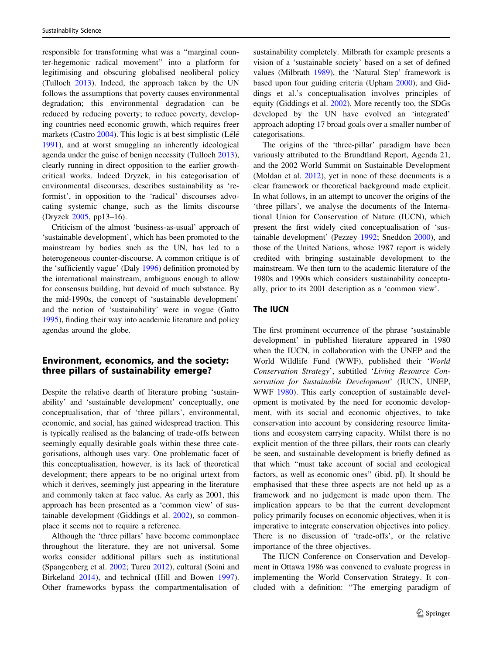responsible for transforming what was a ''marginal counter-hegemonic radical movement'' into a platform for legitimising and obscuring globalised neoliberal policy (Tulloch [2013\)](#page-13-0). Indeed, the approach taken by the UN follows the assumptions that poverty causes environmental degradation; this environmental degradation can be reduced by reducing poverty; to reduce poverty, developing countries need economic growth, which requires freer markets (Castro  $2004$ ). This logic is at best simplistic (Lélé [1991\)](#page-13-0), and at worst smuggling an inherently ideological agenda under the guise of benign necessity (Tulloch [2013](#page-13-0)), clearly running in direct opposition to the earlier growthcritical works. Indeed Dryzek, in his categorisation of environmental discourses, describes sustainability as 'reformist', in opposition to the 'radical' discourses advocating systemic change, such as the limits discourse (Dryzek [2005](#page-12-0), pp13–16).

Criticism of the almost 'business-as-usual' approach of 'sustainable development', which has been promoted to the mainstream by bodies such as the UN, has led to a heterogeneous counter-discourse. A common critique is of the 'sufficiently vague' (Daly [1996\)](#page-12-0) definition promoted by the international mainstream, ambiguous enough to allow for consensus building, but devoid of much substance. By the mid-1990s, the concept of 'sustainable development' and the notion of 'sustainability' were in vogue (Gatto [1995\)](#page-12-0), finding their way into academic literature and policy agendas around the globe.

# Environment, economics, and the society: three pillars of sustainability emerge?

Despite the relative dearth of literature probing 'sustainability' and 'sustainable development' conceptually, one conceptualisation, that of 'three pillars', environmental, economic, and social, has gained widespread traction. This is typically realised as the balancing of trade-offs between seemingly equally desirable goals within these three categorisations, although uses vary. One problematic facet of this conceptualisation, however, is its lack of theoretical development; there appears to be no original urtext from which it derives, seemingly just appearing in the literature and commonly taken at face value. As early as 2001, this approach has been presented as a 'common view' of sustainable development (Giddings et al. [2002](#page-12-0)), so commonplace it seems not to require a reference.

Although the 'three pillars' have become commonplace throughout the literature, they are not universal. Some works consider additional pillars such as institutional (Spangenberg et al. [2002](#page-13-0); Turcu [2012\)](#page-14-0), cultural (Soini and Birkeland [2014](#page-13-0)), and technical (Hill and Bowen [1997](#page-12-0)). Other frameworks bypass the compartmentalisation of sustainability completely. Milbrath for example presents a vision of a 'sustainable society' based on a set of defined values (Milbrath [1989\)](#page-13-0), the 'Natural Step' framework is based upon four guiding criteria (Upham [2000\)](#page-14-0), and Giddings et al.'s conceptualisation involves principles of equity (Giddings et al. [2002](#page-12-0)). More recently too, the SDGs developed by the UN have evolved an 'integrated' approach adopting 17 broad goals over a smaller number of categorisations.

The origins of the 'three-pillar' paradigm have been variously attributed to the Brundtland Report, Agenda 21, and the 2002 World Summit on Sustainable Development (Moldan et al. [2012\)](#page-13-0), yet in none of these documents is a clear framework or theoretical background made explicit. In what follows, in an attempt to uncover the origins of the 'three pillars', we analyse the documents of the International Union for Conservation of Nature (IUCN), which present the first widely cited conceptualisation of 'sustainable development' (Pezzey [1992;](#page-13-0) Sneddon [2000](#page-13-0)), and those of the United Nations, whose 1987 report is widely credited with bringing sustainable development to the mainstream. We then turn to the academic literature of the 1980s and 1990s which considers sustainability conceptually, prior to its 2001 description as a 'common view'.

### The IUCN

The first prominent occurrence of the phrase 'sustainable development' in published literature appeared in 1980 when the IUCN, in collaboration with the UNEP and the World Wildlife Fund (WWF), published their 'World Conservation Strategy', subtitled 'Living Resource Conservation for Sustainable Development' (IUCN, UNEP, WWF [1980\)](#page-12-0). This early conception of sustainable development is motivated by the need for economic development, with its social and economic objectives, to take conservation into account by considering resource limitations and ecosystem carrying capacity. Whilst there is no explicit mention of the three pillars, their roots can clearly be seen, and sustainable development is briefly defined as that which ''must take account of social and ecological factors, as well as economic ones'' (ibid. pI). It should be emphasised that these three aspects are not held up as a framework and no judgement is made upon them. The implication appears to be that the current development policy primarily focuses on economic objectives, when it is imperative to integrate conservation objectives into policy. There is no discussion of 'trade-offs', or the relative importance of the three objectives.

The IUCN Conference on Conservation and Development in Ottawa 1986 was convened to evaluate progress in implementing the World Conservation Strategy. It concluded with a definition: ''The emerging paradigm of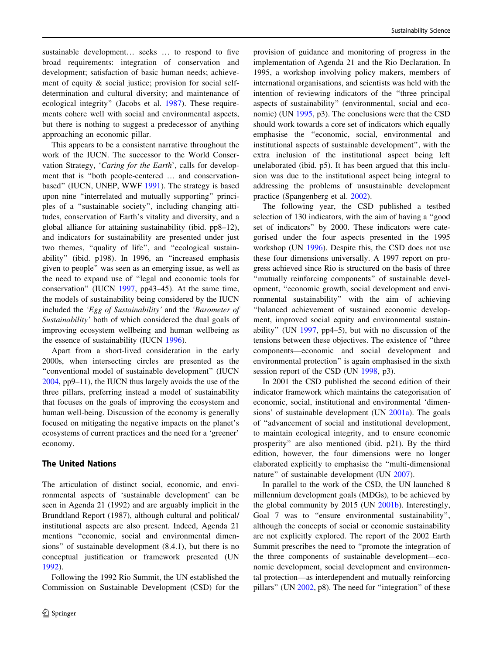sustainable development… seeks … to respond to five broad requirements: integration of conservation and development; satisfaction of basic human needs; achievement of equity & social justice; provision for social selfdetermination and cultural diversity; and maintenance of ecological integrity'' (Jacobs et al. [1987](#page-12-0)). These requirements cohere well with social and environmental aspects, but there is nothing to suggest a predecessor of anything approaching an economic pillar.

This appears to be a consistent narrative throughout the work of the IUCN. The successor to the World Conservation Strategy, 'Caring for the Earth', calls for development that is ''both people-centered … and conservationbased'' (IUCN, UNEP, WWF [1991](#page-12-0)). The strategy is based upon nine ''interrelated and mutually supporting'' principles of a ''sustainable society'', including changing attitudes, conservation of Earth's vitality and diversity, and a global alliance for attaining sustainability (ibid. pp8–12), and indicators for sustainability are presented under just two themes, "quality of life", and "ecological sustainability'' (ibid. p198). In 1996, an ''increased emphasis given to people'' was seen as an emerging issue, as well as the need to expand use of ''legal and economic tools for conservation'' (IUCN [1997](#page-12-0), pp43–45). At the same time, the models of sustainability being considered by the IUCN included the 'Egg of Sustainability' and the 'Barometer of Sustainability' both of which considered the dual goals of improving ecosystem wellbeing and human wellbeing as the essence of sustainability (IUCN [1996\)](#page-12-0).

Apart from a short-lived consideration in the early 2000s, when intersecting circles are presented as the ''conventional model of sustainable development'' (IUCN [2004,](#page-12-0) pp9–11), the IUCN thus largely avoids the use of the three pillars, preferring instead a model of sustainability that focuses on the goals of improving the ecosystem and human well-being. Discussion of the economy is generally focused on mitigating the negative impacts on the planet's ecosystems of current practices and the need for a 'greener' economy.

### The United Nations

The articulation of distinct social, economic, and environmental aspects of 'sustainable development' can be seen in Agenda 21 (1992) and are arguably implicit in the Brundtland Report (1987), although cultural and political/ institutional aspects are also present. Indeed, Agenda 21 mentions "economic, social and environmental dimensions'' of sustainable development (8.4.1), but there is no conceptual justification or framework presented (UN [1992\)](#page-14-0).

Following the 1992 Rio Summit, the UN established the Commission on Sustainable Development (CSD) for the

provision of guidance and monitoring of progress in the implementation of Agenda 21 and the Rio Declaration. In 1995, a workshop involving policy makers, members of international organisations, and scientists was held with the intention of reviewing indicators of the ''three principal aspects of sustainability'' (environmental, social and economic) (UN [1995,](#page-14-0) p3). The conclusions were that the CSD should work towards a core set of indicators which equally emphasise the ''economic, social, environmental and institutional aspects of sustainable development'', with the extra inclusion of the institutional aspect being left unelaborated (ibid. p5). It has been argued that this inclusion was due to the institutional aspect being integral to addressing the problems of unsustainable development practice (Spangenberg et al. [2002\)](#page-13-0).

The following year, the CSD published a testbed selection of 130 indicators, with the aim of having a ''good set of indicators'' by 2000. These indicators were categorised under the four aspects presented in the 1995 workshop (UN [1996](#page-14-0)). Despite this, the CSD does not use these four dimensions universally. A 1997 report on progress achieved since Rio is structured on the basis of three "mutually reinforcing components" of sustainable development, ''economic growth, social development and environmental sustainability'' with the aim of achieving ''balanced achievement of sustained economic development, improved social equity and environmental sustainability'' (UN [1997](#page-14-0), pp4–5), but with no discussion of the tensions between these objectives. The existence of ''three components—economic and social development and environmental protection'' is again emphasised in the sixth session report of the CSD (UN [1998](#page-14-0), p3).

In 2001 the CSD published the second edition of their indicator framework which maintains the categorisation of economic, social, institutional and environmental 'dimensions' of sustainable development (UN [2001a\)](#page-14-0). The goals of ''advancement of social and institutional development, to maintain ecological integrity, and to ensure economic prosperity'' are also mentioned (ibid. p21). By the third edition, however, the four dimensions were no longer elaborated explicitly to emphasise the ''multi-dimensional nature'' of sustainable development (UN [2007\)](#page-14-0).

In parallel to the work of the CSD, the UN launched 8 millennium development goals (MDGs), to be achieved by the global community by 2015 (UN [2001b\)](#page-14-0). Interestingly, Goal 7 was to "ensure environmental sustainability", although the concepts of social or economic sustainability are not explicitly explored. The report of the 2002 Earth Summit prescribes the need to ''promote the integration of the three components of sustainable development—economic development, social development and environmental protection—as interdependent and mutually reinforcing pillars" (UN [2002](#page-14-0), p8). The need for "integration" of these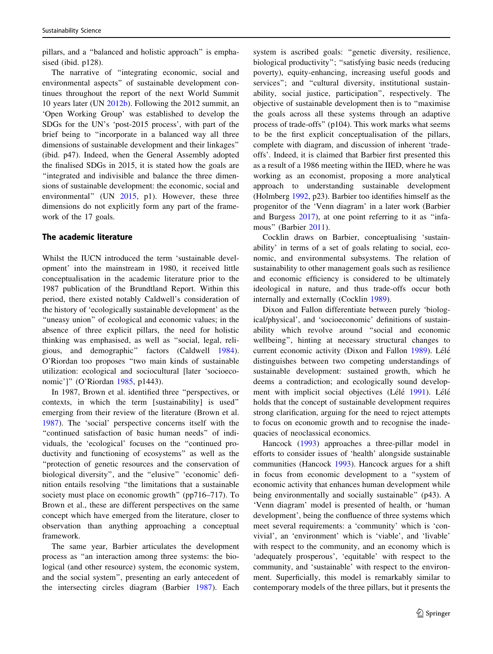pillars, and a ''balanced and holistic approach'' is emphasised (ibid. p128).

The narrative of ''integrating economic, social and environmental aspects'' of sustainable development continues throughout the report of the next World Summit 10 years later (UN [2012b](#page-14-0)). Following the 2012 summit, an 'Open Working Group' was established to develop the SDGs for the UN's 'post-2015 process', with part of the brief being to ''incorporate in a balanced way all three dimensions of sustainable development and their linkages'' (ibid. p47). Indeed, when the General Assembly adopted the finalised SDGs in 2015, it is stated how the goals are ''integrated and indivisible and balance the three dimensions of sustainable development: the economic, social and environmental" (UN [2015](#page-14-0), p1). However, these three dimensions do not explicitly form any part of the framework of the 17 goals.

### The academic literature

Whilst the IUCN introduced the term 'sustainable development' into the mainstream in 1980, it received little conceptualisation in the academic literature prior to the 1987 publication of the Brundtland Report. Within this period, there existed notably Caldwell's consideration of the history of 'ecologically sustainable development' as the ''uneasy union'' of ecological and economic values; in the absence of three explicit pillars, the need for holistic thinking was emphasised, as well as ''social, legal, religious, and demographic'' factors (Caldwell [1984](#page-12-0)). O'Riordan too proposes ''two main kinds of sustainable utilization: ecological and sociocultural [later 'socioeconomic']'' (O'Riordan [1985,](#page-13-0) p1443).

In 1987, Brown et al. identified three ''perspectives, or contexts, in which the term [sustainability] is used'' emerging from their review of the literature (Brown et al. [1987\)](#page-12-0). The 'social' perspective concerns itself with the ''continued satisfaction of basic human needs'' of individuals, the 'ecological' focuses on the ''continued productivity and functioning of ecosystems'' as well as the ''protection of genetic resources and the conservation of biological diversity", and the "elusive" 'economic' definition entails resolving ''the limitations that a sustainable society must place on economic growth" (pp716–717). To Brown et al., these are different perspectives on the same concept which have emerged from the literature, closer to observation than anything approaching a conceptual framework.

The same year, Barbier articulates the development process as ''an interaction among three systems: the biological (and other resource) system, the economic system, and the social system'', presenting an early antecedent of the intersecting circles diagram (Barbier [1987](#page-11-0)). Each system is ascribed goals: ''genetic diversity, resilience, biological productivity''; ''satisfying basic needs (reducing poverty), equity-enhancing, increasing useful goods and services"; and "cultural diversity, institutional sustainability, social justice, participation'', respectively. The objective of sustainable development then is to ''maximise the goals across all these systems through an adaptive process of trade-offs'' (p104). This work marks what seems to be the first explicit conceptualisation of the pillars, complete with diagram, and discussion of inherent 'tradeoffs'. Indeed, it is claimed that Barbier first presented this as a result of a 1986 meeting within the IIED, where he was working as an economist, proposing a more analytical approach to understanding sustainable development (Holmberg [1992,](#page-12-0) p23). Barbier too identifies himself as the progenitor of the 'Venn diagram' in a later work (Barbier and Burgess [2017](#page-11-0)), at one point referring to it as ''infamous'' (Barbier [2011](#page-11-0)).

Cocklin draws on Barbier, conceptualising 'sustainability' in terms of a set of goals relating to social, economic, and environmental subsystems. The relation of sustainability to other management goals such as resilience and economic efficiency is considered to be ultimately ideological in nature, and thus trade-offs occur both internally and externally (Cocklin [1989](#page-12-0)).

Dixon and Fallon differentiate between purely 'biological/physical', and 'socioeconomic' definitions of sustainability which revolve around ''social and economic wellbeing'', hinting at necessary structural changes to current economic activity (Dixon and Fallon [1989](#page-12-0)). Lélé distinguishes between two competing understandings of sustainable development: sustained growth, which he deems a contradiction; and ecologically sound develop-ment with implicit social objectives (Lélé [1991\)](#page-13-0). Lélé holds that the concept of sustainable development requires strong clarification, arguing for the need to reject attempts to focus on economic growth and to recognise the inadequacies of neoclassical economics.

Hancock ([1993\)](#page-12-0) approaches a three-pillar model in efforts to consider issues of 'health' alongside sustainable communities (Hancock [1993](#page-12-0)). Hancock argues for a shift in focus from economic development to a ''system of economic activity that enhances human development while being environmentally and socially sustainable'' (p43). A 'Venn diagram' model is presented of health, or 'human development', being the confluence of three systems which meet several requirements: a 'community' which is 'convivial', an 'environment' which is 'viable', and 'livable' with respect to the community, and an economy which is 'adequately prosperous', 'equitable' with respect to the community, and 'sustainable' with respect to the environment. Superficially, this model is remarkably similar to contemporary models of the three pillars, but it presents the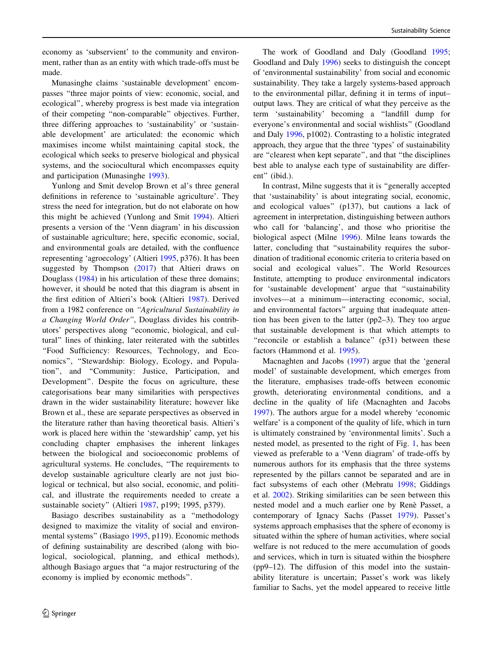<span id="page-8-0"></span>economy as 'subservient' to the community and environment, rather than as an entity with which trade-offs must be made.

Munasinghe claims 'sustainable development' encompasses ''three major points of view: economic, social, and ecological'', whereby progress is best made via integration of their competing ''non-comparable'' objectives. Further, three differing approaches to 'sustainability' or 'sustainable development' are articulated: the economic which maximises income whilst maintaining capital stock, the ecological which seeks to preserve biological and physical systems, and the sociocultural which encompasses equity and participation (Munasinghe [1993\)](#page-13-0).

Yunlong and Smit develop Brown et al's three general definitions in reference to 'sustainable agriculture'. They stress the need for integration, but do not elaborate on how this might be achieved (Yunlong and Smit [1994](#page-14-0)). Altieri presents a version of the 'Venn diagram' in his discussion of sustainable agriculture; here, specific economic, social, and environmental goals are detailed, with the confluence representing 'agroecology' (Altieri [1995](#page-11-0), p376). It has been suggested by Thompson  $(2017)$  $(2017)$  that Altieri draws on Douglass [\(1984](#page-12-0)) in his articulation of these three domains; however, it should be noted that this diagram is absent in the first edition of Altieri's book (Altieri [1987\)](#page-11-0). Derived from a 1982 conference on ''Agricultural Sustainability in a Changing World Order'', Douglass divides his contributors' perspectives along ''economic, biological, and cultural'' lines of thinking, later reiterated with the subtitles ''Food Sufficiency: Resources, Technology, and Economics'', ''Stewardship: Biology, Ecology, and Population'', and ''Community: Justice, Participation, and Development''. Despite the focus on agriculture, these categorisations bear many similarities with perspectives drawn in the wider sustainability literature; however like Brown et al., these are separate perspectives as observed in the literature rather than having theoretical basis. Altieri's work is placed here within the 'stewardship' camp, yet his concluding chapter emphasises the inherent linkages between the biological and socioeconomic problems of agricultural systems. He concludes, ''The requirements to develop sustainable agriculture clearly are not just biological or technical, but also social, economic, and political, and illustrate the requirements needed to create a sustainable society'' (Altieri [1987,](#page-11-0) p199; 1995, p379).

Basiago describes sustainability as a ''methodology designed to maximize the vitality of social and environmental systems'' (Basiago [1995,](#page-11-0) p119). Economic methods of defining sustainability are described (along with biological, sociological, planning, and ethical methods), although Basiago argues that ''a major restructuring of the economy is implied by economic methods''.

The work of Goodland and Daly (Goodland [1995](#page-12-0); Goodland and Daly [1996\)](#page-12-0) seeks to distinguish the concept of 'environmental sustainability' from social and economic sustainability. They take a largely systems-based approach to the environmental pillar, defining it in terms of input– output laws. They are critical of what they perceive as the term 'sustainability' becoming a ''landfill dump for everyone's environmental and social wishlists'' (Goodland and Daly [1996,](#page-12-0) p1002). Contrasting to a holistic integrated approach, they argue that the three 'types' of sustainability are ''clearest when kept separate'', and that ''the disciplines best able to analyse each type of sustainability are different'' (ibid.).

In contrast, Milne suggests that it is ''generally accepted that 'sustainability' is about integrating social, economic, and ecological values'' (p137), but cautions a lack of agreement in interpretation, distinguishing between authors who call for 'balancing', and those who prioritise the biological aspect (Milne [1996](#page-13-0)). Milne leans towards the latter, concluding that ''sustainability requires the subordination of traditional economic criteria to criteria based on social and ecological values''. The World Resources Institute, attempting to produce environmental indicators for 'sustainable development' argue that ''sustainability involves—at a minimum—interacting economic, social, and environmental factors'' arguing that inadequate attention has been given to the latter (pp2–3). They too argue that sustainable development is that which attempts to "reconcile or establish a balance" (p31) between these factors (Hammond et al. [1995](#page-12-0)).

Macnaghten and Jacobs [\(1997\)](#page-13-0) argue that the 'general model' of sustainable development, which emerges from the literature, emphasises trade-offs between economic growth, deteriorating environmental conditions, and a decline in the quality of life (Macnaghten and Jacobs [1997](#page-13-0)). The authors argue for a model whereby 'economic welfare' is a component of the quality of life, which in turn is ultimately constrained by 'environmental limits'. Such a nested model, as presented to the right of Fig. [1](#page-1-0), has been viewed as preferable to a 'Venn diagram' of trade-offs by numerous authors for its emphasis that the three systems represented by the pillars cannot be separated and are in fact subsystems of each other (Mebratu [1998](#page-13-0); Giddings et al. [2002\)](#page-12-0). Striking similarities can be seen between this nested model and a much earlier one by Renè Passet, a contemporary of Ignacy Sachs (Passet [1979](#page-13-0)). Passet's systems approach emphasises that the sphere of economy is situated within the sphere of human activities, where social welfare is not reduced to the mere accumulation of goods and services, which in turn is situated within the biosphere (pp9–12). The diffusion of this model into the sustainability literature is uncertain; Passet's work was likely familiar to Sachs, yet the model appeared to receive little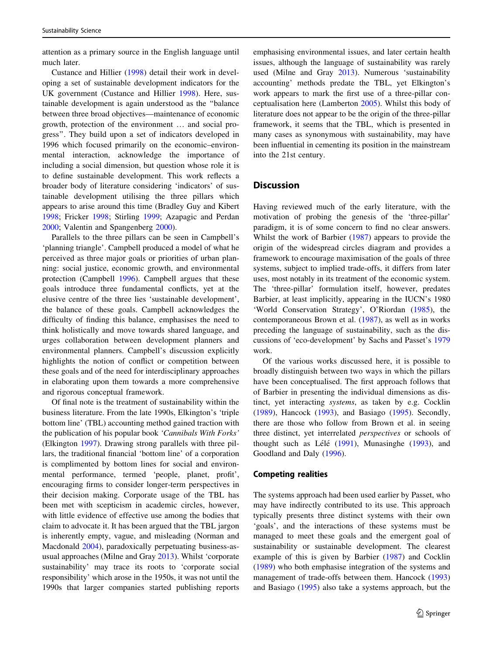attention as a primary source in the English language until much later.

Custance and Hillier ([1998\)](#page-12-0) detail their work in developing a set of sustainable development indicators for the UK government (Custance and Hillier [1998](#page-12-0)). Here, sustainable development is again understood as the ''balance between three broad objectives—maintenance of economic growth, protection of the environment … and social progress''. They build upon a set of indicators developed in 1996 which focused primarily on the economic–environmental interaction, acknowledge the importance of including a social dimension, but question whose role it is to define sustainable development. This work reflects a broader body of literature considering 'indicators' of sustainable development utilising the three pillars which appears to arise around this time (Bradley Guy and Kibert [1998;](#page-12-0) Fricker [1998](#page-12-0); Stirling [1999](#page-13-0); Azapagic and Perdan [2000;](#page-11-0) Valentin and Spangenberg [2000](#page-14-0)).

Parallels to the three pillars can be seen in Campbell's 'planning triangle'. Campbell produced a model of what he perceived as three major goals or priorities of urban planning: social justice, economic growth, and environmental protection (Campbell [1996\)](#page-12-0). Campbell argues that these goals introduce three fundamental conflicts, yet at the elusive centre of the three lies 'sustainable development', the balance of these goals. Campbell acknowledges the difficulty of finding this balance, emphasises the need to think holistically and move towards shared language, and urges collaboration between development planners and environmental planners. Campbell's discussion explicitly highlights the notion of conflict or competition between these goals and of the need for interdisciplinary approaches in elaborating upon them towards a more comprehensive and rigorous conceptual framework.

Of final note is the treatment of sustainability within the business literature. From the late 1990s, Elkington's 'triple bottom line' (TBL) accounting method gained traction with the publication of his popular book 'Cannibals With Forks' (Elkington [1997](#page-12-0)). Drawing strong parallels with three pillars, the traditional financial 'bottom line' of a corporation is complimented by bottom lines for social and environmental performance, termed 'people, planet, profit', encouraging firms to consider longer-term perspectives in their decision making. Corporate usage of the TBL has been met with scepticism in academic circles, however, with little evidence of effective use among the bodies that claim to advocate it. It has been argued that the TBL jargon is inherently empty, vague, and misleading (Norman and Macdonald [2004](#page-13-0)), paradoxically perpetuating business-asusual approaches (Milne and Gray [2013\)](#page-13-0). Whilst 'corporate sustainability' may trace its roots to 'corporate social responsibility' which arose in the 1950s, it was not until the 1990s that larger companies started publishing reports emphasising environmental issues, and later certain health issues, although the language of sustainability was rarely used (Milne and Gray [2013\)](#page-13-0). Numerous 'sustainability accounting' methods predate the TBL, yet Elkington's work appears to mark the first use of a three-pillar conceptualisation here (Lamberton [2005](#page-13-0)). Whilst this body of literature does not appear to be the origin of the three-pillar framework, it seems that the TBL, which is presented in many cases as synonymous with sustainability, may have been influential in cementing its position in the mainstream into the 21st century.

# **Discussion**

Having reviewed much of the early literature, with the motivation of probing the genesis of the 'three-pillar' paradigm, it is of some concern to find no clear answers. Whilst the work of Barbier [\(1987](#page-11-0)) appears to provide the origin of the widespread circles diagram and provides a framework to encourage maximisation of the goals of three systems, subject to implied trade-offs, it differs from later uses, most notably in its treatment of the economic system. The 'three-pillar' formulation itself, however, predates Barbier, at least implicitly, appearing in the IUCN's 1980 'World Conservation Strategy', O'Riordan ([1985\)](#page-13-0), the contemporaneous Brown et al. ([1987\)](#page-12-0), as well as in works preceding the language of sustainability, such as the discussions of 'eco-development' by Sachs and Passet's [1979](#page-13-0) work.

Of the various works discussed here, it is possible to broadly distinguish between two ways in which the pillars have been conceptualised. The first approach follows that of Barbier in presenting the individual dimensions as distinct, yet interacting systems, as taken by e.g. Cocklin [\(1989](#page-12-0)), Hancock ([1993\)](#page-12-0), and Basiago ([1995\)](#page-11-0). Secondly, there are those who follow from Brown et al. in seeing three distinct, yet interrelated perspectives or schools of thought such as Lélé  $(1991)$  $(1991)$ , Munasinghe  $(1993)$  $(1993)$ , and Goodland and Daly ([1996\)](#page-12-0).

### Competing realities

The systems approach had been used earlier by Passet, who may have indirectly contributed to its use. This approach typically presents three distinct systems with their own 'goals', and the interactions of these systems must be managed to meet these goals and the emergent goal of sustainability or sustainable development. The clearest example of this is given by Barbier ([1987\)](#page-11-0) and Cocklin [\(1989](#page-12-0)) who both emphasise integration of the systems and management of trade-offs between them. Hancock ([1993\)](#page-12-0) and Basiago [\(1995](#page-11-0)) also take a systems approach, but the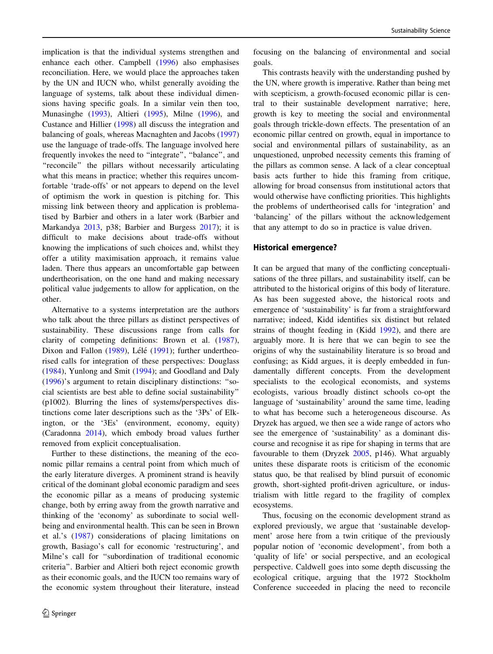implication is that the individual systems strengthen and enhance each other. Campbell ([1996\)](#page-12-0) also emphasises reconciliation. Here, we would place the approaches taken by the UN and IUCN who, whilst generally avoiding the language of systems, talk about these individual dimensions having specific goals. In a similar vein then too, Munasinghe ([1993\)](#page-13-0), Altieri [\(1995](#page-11-0)), Milne ([1996\)](#page-13-0), and Custance and Hillier [\(1998](#page-12-0)) all discuss the integration and balancing of goals, whereas Macnaghten and Jacobs ([1997\)](#page-13-0) use the language of trade-offs. The language involved here frequently invokes the need to ''integrate'', ''balance'', and "reconcile" the pillars without necessarily articulating what this means in practice; whether this requires uncomfortable 'trade-offs' or not appears to depend on the level of optimism the work in question is pitching for. This missing link between theory and application is problematised by Barbier and others in a later work (Barbier and Markandya [2013](#page-11-0), p38; Barbier and Burgess [2017](#page-11-0)); it is difficult to make decisions about trade-offs without knowing the implications of such choices and, whilst they offer a utility maximisation approach, it remains value laden. There thus appears an uncomfortable gap between undertheorisation, on the one hand and making necessary political value judgements to allow for application, on the other.

Alternative to a systems interpretation are the authors who talk about the three pillars as distinct perspectives of sustainability. These discussions range from calls for clarity of competing definitions: Brown et al. [\(1987](#page-12-0)), Dixon and Fallon ([1989](#page-12-0)), Lélé ([1991\)](#page-13-0); further undertheorised calls for integration of these perspectives: Douglass [\(1984](#page-12-0)), Yunlong and Smit ([1994\)](#page-14-0); and Goodland and Daly [\(1996](#page-12-0))'s argument to retain disciplinary distinctions: ''social scientists are best able to define social sustainability'' (p1002). Blurring the lines of systems/perspectives distinctions come later descriptions such as the '3Ps' of Elkington, or the '3Es' (environment, economy, equity) (Caradonna [2014](#page-12-0)), which embody broad values further removed from explicit conceptualisation.

Further to these distinctions, the meaning of the economic pillar remains a central point from which much of the early literature diverges. A prominent strand is heavily critical of the dominant global economic paradigm and sees the economic pillar as a means of producing systemic change, both by erring away from the growth narrative and thinking of the 'economy' as subordinate to social wellbeing and environmental health. This can be seen in Brown et al.'s ([1987\)](#page-12-0) considerations of placing limitations on growth, Basiago's call for economic 'restructuring', and Milne's call for ''subordination of traditional economic criteria''. Barbier and Altieri both reject economic growth as their economic goals, and the IUCN too remains wary of the economic system throughout their literature, instead

focusing on the balancing of environmental and social goals.

This contrasts heavily with the understanding pushed by the UN, where growth is imperative. Rather than being met with scepticism, a growth-focused economic pillar is central to their sustainable development narrative; here, growth is key to meeting the social and environmental goals through trickle-down effects. The presentation of an economic pillar centred on growth, equal in importance to social and environmental pillars of sustainability, as an unquestioned, unprobed necessity cements this framing of the pillars as common sense. A lack of a clear conceptual basis acts further to hide this framing from critique, allowing for broad consensus from institutional actors that would otherwise have conflicting priorities. This highlights the problems of undertheorised calls for 'integration' and 'balancing' of the pillars without the acknowledgement that any attempt to do so in practice is value driven.

#### Historical emergence?

It can be argued that many of the conflicting conceptualisations of the three pillars, and sustainability itself, can be attributed to the historical origins of this body of literature. As has been suggested above, the historical roots and emergence of 'sustainability' is far from a straightforward narrative; indeed, Kidd identifies six distinct but related strains of thought feeding in (Kidd [1992](#page-13-0)), and there are arguably more. It is here that we can begin to see the origins of why the sustainability literature is so broad and confusing; as Kidd argues, it is deeply embedded in fundamentally different concepts. From the development specialists to the ecological economists, and systems ecologists, various broadly distinct schools co-opt the language of 'sustainability' around the same time, leading to what has become such a heterogeneous discourse. As Dryzek has argued, we then see a wide range of actors who see the emergence of 'sustainability' as a dominant discourse and recognise it as ripe for shaping in terms that are favourable to them (Dryzek [2005,](#page-12-0) p146). What arguably unites these disparate roots is criticism of the economic status quo, be that realised by blind pursuit of economic growth, short-sighted profit-driven agriculture, or industrialism with little regard to the fragility of complex ecosystems.

Thus, focusing on the economic development strand as explored previously, we argue that 'sustainable development' arose here from a twin critique of the previously popular notion of 'economic development', from both a 'quality of life' or social perspective, and an ecological perspective. Caldwell goes into some depth discussing the ecological critique, arguing that the 1972 Stockholm Conference succeeded in placing the need to reconcile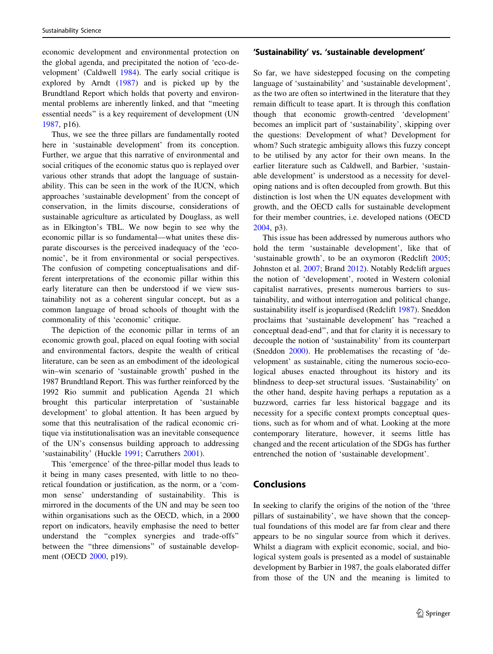<span id="page-11-0"></span>economic development and environmental protection on the global agenda, and precipitated the notion of 'eco-development' (Caldwell [1984\)](#page-12-0). The early social critique is explored by Arndt (1987) and is picked up by the Brundtland Report which holds that poverty and environmental problems are inherently linked, and that ''meeting essential needs'' is a key requirement of development (UN [1987,](#page-14-0) p16).

Thus, we see the three pillars are fundamentally rooted here in 'sustainable development' from its conception. Further, we argue that this narrative of environmental and social critiques of the economic status quo is replayed over various other strands that adopt the language of sustainability. This can be seen in the work of the IUCN, which approaches 'sustainable development' from the concept of conservation, in the limits discourse, considerations of sustainable agriculture as articulated by Douglass, as well as in Elkington's TBL. We now begin to see why the economic pillar is so fundamental—what unites these disparate discourses is the perceived inadequacy of the 'economic', be it from environmental or social perspectives. The confusion of competing conceptualisations and different interpretations of the economic pillar within this early literature can then be understood if we view sustainability not as a coherent singular concept, but as a common language of broad schools of thought with the commonality of this 'economic' critique.

The depiction of the economic pillar in terms of an economic growth goal, placed on equal footing with social and environmental factors, despite the wealth of critical literature, can be seen as an embodiment of the ideological win–win scenario of 'sustainable growth' pushed in the 1987 Brundtland Report. This was further reinforced by the 1992 Rio summit and publication Agenda 21 which brought this particular interpretation of 'sustainable development' to global attention. It has been argued by some that this neutralisation of the radical economic critique via institutionalisation was an inevitable consequence of the UN's consensus building approach to addressing 'sustainability' (Huckle [1991;](#page-12-0) Carruthers [2001\)](#page-12-0).

This 'emergence' of the three-pillar model thus leads to it being in many cases presented, with little to no theoretical foundation or justification, as the norm, or a 'common sense' understanding of sustainability. This is mirrored in the documents of the UN and may be seen too within organisations such as the OECD, which, in a 2000 report on indicators, heavily emphasise the need to better understand the ''complex synergies and trade-offs'' between the ''three dimensions'' of sustainable development (OECD [2000](#page-13-0), p19).

#### 'Sustainability' vs. 'sustainable development'

So far, we have sidestepped focusing on the competing language of 'sustainability' and 'sustainable development', as the two are often so intertwined in the literature that they remain difficult to tease apart. It is through this conflation though that economic growth-centred 'development' becomes an implicit part of 'sustainability', skipping over the questions: Development of what? Development for whom? Such strategic ambiguity allows this fuzzy concept to be utilised by any actor for their own means. In the earlier literature such as Caldwell, and Barbier, 'sustainable development' is understood as a necessity for developing nations and is often decoupled from growth. But this distinction is lost when the UN equates development with growth, and the OECD calls for sustainable development for their member countries, i.e. developed nations (OECD [2004](#page-13-0), p3).

This issue has been addressed by numerous authors who hold the term 'sustainable development', like that of 'sustainable growth', to be an oxymoron (Redclift [2005](#page-13-0); Johnston et al. [2007;](#page-13-0) Brand [2012\)](#page-12-0). Notably Redclift argues the notion of 'development', rooted in Western colonial capitalist narratives, presents numerous barriers to sustainability, and without interrogation and political change, sustainability itself is jeopardised (Redclift [1987\)](#page-13-0). Sneddon proclaims that 'sustainable development' has ''reached a conceptual dead-end'', and that for clarity it is necessary to decouple the notion of 'sustainability' from its counterpart (Sneddon [2000](#page-13-0)). He problematises the recasting of 'development' as sustainable, citing the numerous socio-ecological abuses enacted throughout its history and its blindness to deep-set structural issues. 'Sustainability' on the other hand, despite having perhaps a reputation as a buzzword, carries far less historical baggage and its necessity for a specific context prompts conceptual questions, such as for whom and of what. Looking at the more contemporary literature, however, it seems little has changed and the recent articulation of the SDGs has further entrenched the notion of 'sustainable development'.

# Conclusions

In seeking to clarify the origins of the notion of the 'three pillars of sustainability', we have shown that the conceptual foundations of this model are far from clear and there appears to be no singular source from which it derives. Whilst a diagram with explicit economic, social, and biological system goals is presented as a model of sustainable development by Barbier in 1987, the goals elaborated differ from those of the UN and the meaning is limited to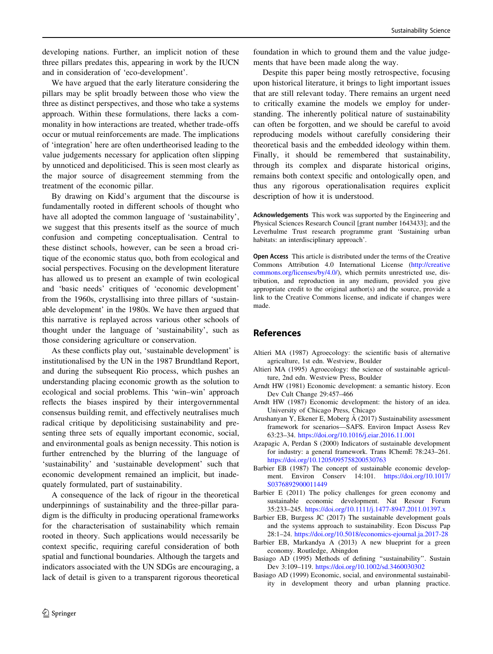<span id="page-12-0"></span>developing nations. Further, an implicit notion of these three pillars predates this, appearing in work by the IUCN and in consideration of 'eco-development'.

We have argued that the early literature considering the pillars may be split broadly between those who view the three as distinct perspectives, and those who take a systems approach. Within these formulations, there lacks a commonality in how interactions are treated, whether trade-offs occur or mutual reinforcements are made. The implications of 'integration' here are often undertheorised leading to the value judgements necessary for application often slipping by unnoticed and depoliticised. This is seen most clearly as the major source of disagreement stemming from the treatment of the economic pillar.

By drawing on Kidd's argument that the discourse is fundamentally rooted in different schools of thought who have all adopted the common language of 'sustainability', we suggest that this presents itself as the source of much confusion and competing conceptualisation. Central to these distinct schools, however, can be seen a broad critique of the economic status quo, both from ecological and social perspectives. Focusing on the development literature has allowed us to present an example of twin ecological and 'basic needs' critiques of 'economic development' from the 1960s, crystallising into three pillars of 'sustainable development' in the 1980s. We have then argued that this narrative is replayed across various other schools of thought under the language of 'sustainability', such as those considering agriculture or conservation.

As these conflicts play out, 'sustainable development' is institutionalised by the UN in the 1987 Brundtland Report, and during the subsequent Rio process, which pushes an understanding placing economic growth as the solution to ecological and social problems. This 'win–win' approach reflects the biases inspired by their intergovernmental consensus building remit, and effectively neutralises much radical critique by depoliticising sustainability and presenting three sets of equally important economic, social, and environmental goals as benign necessity. This notion is further entrenched by the blurring of the language of 'sustainability' and 'sustainable development' such that economic development remained an implicit, but inadequately formulated, part of sustainability.

A consequence of the lack of rigour in the theoretical underpinnings of sustainability and the three-pillar paradigm is the difficulty in producing operational frameworks for the characterisation of sustainability which remain rooted in theory. Such applications would necessarily be context specific, requiring careful consideration of both spatial and functional boundaries. Although the targets and indicators associated with the UN SDGs are encouraging, a lack of detail is given to a transparent rigorous theoretical

foundation in which to ground them and the value judgements that have been made along the way.

Despite this paper being mostly retrospective, focusing upon historical literature, it brings to light important issues that are still relevant today. There remains an urgent need to critically examine the models we employ for understanding. The inherently political nature of sustainability can often be forgotten, and we should be careful to avoid reproducing models without carefully considering their theoretical basis and the embedded ideology within them. Finally, it should be remembered that sustainability, through its complex and disparate historical origins, remains both context specific and ontologically open, and thus any rigorous operationalisation requires explicit description of how it is understood.

Acknowledgements This work was supported by the Engineering and Physical Sciences Research Council [grant number 1643433]; and the Leverhulme Trust research programme grant 'Sustaining urban habitats: an interdisciplinary approach'.

Open Access This article is distributed under the terms of the Creative Commons Attribution 4.0 International License ([http://creative](http://creativecommons.org/licenses/by/4.0/) [commons.org/licenses/by/4.0/](http://creativecommons.org/licenses/by/4.0/)), which permits unrestricted use, distribution, and reproduction in any medium, provided you give appropriate credit to the original author(s) and the source, provide a link to the Creative Commons license, and indicate if changes were made.

# References

- Altieri MA (1987) Agroecology: the scientific basis of alternative agriculture, 1st edn. Westview, Boulder
- Altieri MA (1995) Agroecology: the science of sustainable agriculture, 2nd edn. Westview Press, Boulder
- Arndt HW (1981) Economic development: a semantic history. Econ Dev Cult Change 29:457–466
- Arndt HW (1987) Economic development: the history of an idea. University of Chicago Press, Chicago
- Arushanyan Y, Ekener E, Moberg Å (2017) Sustainability assessment framework for scenarios—SAFS. Environ Impact Assess Rev 63:23–34. <https://doi.org/10.1016/j.eiar.2016.11.001>
- Azapagic A, Perdan S (2000) Indicators of sustainable development for industry: a general framework. Trans IChemE 78:243–261. <https://doi.org/10.1205/095758200530763>
- Barbier EB (1987) The concept of sustainable economic development. Environ Conserv 14:101. [https://doi.org/10.1017/](https://doi.org/10.1017/S0376892900011449) [S0376892900011449](https://doi.org/10.1017/S0376892900011449)
- Barbier E (2011) The policy challenges for green economy and sustainable economic development. Nat Resour Forum 35:233–245. <https://doi.org/10.1111/j.1477-8947.2011.01397.x>
- Barbier EB, Burgess JC (2017) The sustainable development goals and the systems approach to sustainability. Econ Discuss Pap 28:1–24. <https://doi.org/10.5018/economics-ejournal.ja.2017-28>
- Barbier EB, Markandya A (2013) A new blueprint for a green economy. Routledge, Abingdon
- Basiago AD (1995) Methods of defining ''sustainability''. Sustain Dev 3:109–119. <https://doi.org/10.1002/sd.3460030302>
- Basiago AD (1999) Economic, social, and environmental sustainability in development theory and urban planning practice.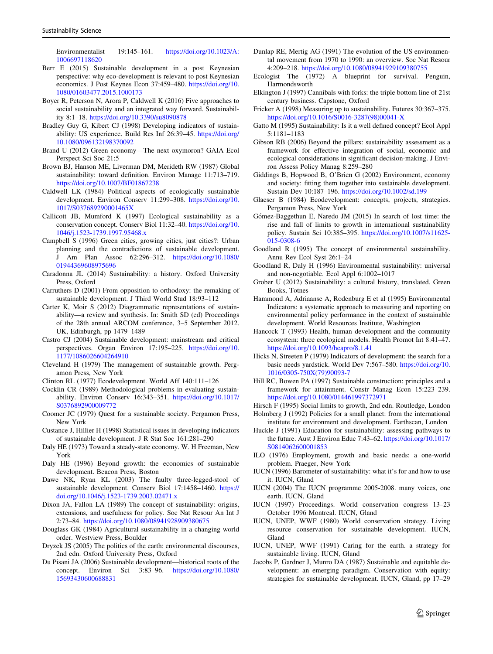<span id="page-13-0"></span>Environmentalist 19:145–161. [https://doi.org/10.1023/A:](https://doi.org/10.1023/A:1006697118620) [1006697118620](https://doi.org/10.1023/A:1006697118620)

- Berr E (2015) Sustainable development in a post Keynesian perspective: why eco-development is relevant to post Keynesian economics. J Post Keynes Econ 37:459–480. [https://doi.org/10.](https://doi.org/10.1080/01603477.2015.1000173) [1080/01603477.2015.1000173](https://doi.org/10.1080/01603477.2015.1000173)
- Boyer R, Peterson N, Arora P, Caldwell K (2016) Five approaches to social sustainability and an integrated way forward. Sustainability 8:1–18. <https://doi.org/10.3390/su8090878>
- Bradley Guy G, Kibert CJ (1998) Developing indicators of sustainability: US experience. Build Res Inf 26:39–45. [https://doi.org/](https://doi.org/10.1080/096132198370092) [10.1080/096132198370092](https://doi.org/10.1080/096132198370092)
- Brand U (2012) Green economy—The next oxymoron? GAIA Ecol Perspect Sci Soc 21:5
- Brown BJ, Hanson ME, Liverman DM, Merideth RW (1987) Global sustainability: toward definition. Environ Manage 11:713–719. <https://doi.org/10.1007/BF01867238>
- Caldwell LK (1984) Political aspects of ecologically sustainable development. Environ Conserv 11:299–308. [https://doi.org/10.](https://doi.org/10.1017/S037689290001465X) [1017/S037689290001465X](https://doi.org/10.1017/S037689290001465X)
- Callicott JB, Mumford K (1997) Ecological sustainability as a conservation concept. Conserv Biol 11:32–40. [https://doi.org/10.](https://doi.org/10.1046/j.1523-1739.1997.95468.x) [1046/j.1523-1739.1997.95468.x](https://doi.org/10.1046/j.1523-1739.1997.95468.x)
- Campbell S (1996) Green cities, growing cities, just cities?: Urban planning and the contradictions of sustainable development. J Am Plan Assoc 62:296–312. [https://doi.org/10.1080/](https://doi.org/10.1080/01944369608975696) [01944369608975696](https://doi.org/10.1080/01944369608975696)
- Caradonna JL (2014) Sustainability: a history. Oxford University Press, Oxford
- Carruthers D (2001) From opposition to orthodoxy: the remaking of sustainable development. J Third World Stud 18:93–112
- Carter K, Moir S (2012) Diagrammatic representations of sustainability—a review and synthesis. In: Smith SD (ed) Proceedings of the 28th annual ARCOM conference, 3–5 September 2012. UK, Edinburgh, pp 1479–1489
- Castro CJ (2004) Sustainable development: mainstream and critical perspectives. Organ Environ 17:195–225. [https://doi.org/10.](https://doi.org/10.1177/1086026604264910) [1177/1086026604264910](https://doi.org/10.1177/1086026604264910)
- Cleveland H (1979) The management of sustainable growth. Pergamon Press, New York
- Clinton RL (1977) Ecodevelopment. World Aff 140:111–126
- Cocklin CR (1989) Methodological problems in evaluating sustainability. Environ Conserv 16:343–351. [https://doi.org/10.1017/](https://doi.org/10.1017/S0376892900009772) [S0376892900009772](https://doi.org/10.1017/S0376892900009772)
- Coomer JC (1979) Quest for a sustainable society. Pergamon Press, New York
- Custance J, Hillier H (1998) Statistical issues in developing indicators of sustainable development. J R Stat Soc 161:281–290
- Daly HE (1973) Toward a steady-state economy. W. H Freeman, New York
- Daly HE (1996) Beyond growth: the economics of sustainable development. Beacon Press, Boston
- Dawe NK, Ryan KL (2003) The faulty three-legged-stool of sustainable development. Conserv Biol 17:1458–1460. [https://](https://doi.org/10.1046/j.1523-1739.2003.02471.x) [doi.org/10.1046/j.1523-1739.2003.02471.x](https://doi.org/10.1046/j.1523-1739.2003.02471.x)
- Dixon JA, Fallon LA (1989) The concept of sustainability: origins, extensions, and usefulness for policy. Soc Nat Resour An Int J 2:73–84. <https://doi.org/10.1080/08941928909380675>
- Douglass GK (1984) Agricultural sustainability in a changing world order. Westview Press, Boulder
- Dryzek JS (2005) The politics of the earth: environmental discourses, 2nd edn. Oxford University Press, Oxford
- Du Pisani JA (2006) Sustainable development—historical roots of the concept. Environ Sci 3:83–96. [https://doi.org/10.1080/](https://doi.org/10.1080/15693430600688831) [15693430600688831](https://doi.org/10.1080/15693430600688831)
- Dunlap RE, Mertig AG (1991) The evolution of the US environmental movement from 1970 to 1990: an overview. Soc Nat Resour 4:209–218. <https://doi.org/10.1080/08941929109380755>
- Ecologist The (1972) A blueprint for survival. Penguin, Harmondsworth
- Elkington J (1997) Cannibals with forks: the triple bottom line of 21st century business. Capstone, Oxford
- Fricker A (1998) Measuring up to sustainability. Futures 30:367–375. [https://doi.org/10.1016/S0016-3287\(98\)00041-X](https://doi.org/10.1016/S0016-3287(98)00041-X)
- Gatto M (1995) Sustainability: Is it a well defined concept? Ecol Appl 5:1181–1183
- Gibson RB (2006) Beyond the pillars: sustainability assessment as a framework for effective integration of social, economic and ecological considerations in significant decision-making. J Environ Assess Policy Manag 8:259–280
- Giddings B, Hopwood B, O'Brien G (2002) Environment, economy and society: fitting them together into sustainable development. Sustain Dev 10:187–196. <https://doi.org/10.1002/sd.199>
- Glaeser B (1984) Ecodevelopment: concepts, projects, strategies. Pergamon Press, New York
- Gómez-Baggethun E, Naredo JM (2015) In search of lost time: the rise and fall of limits to growth in international sustainability policy. Sustain Sci 10:385–395. [https://doi.org/10.1007/s11625-](https://doi.org/10.1007/s11625-015-0308-6) [015-0308-6](https://doi.org/10.1007/s11625-015-0308-6)
- Goodland R (1995) The concept of environmental sustainability. Annu Rev Ecol Syst 26:1–24
- Goodland R, Daly H (1996) Environmental sustainability: universal and non-negotiable. Ecol Appl 6:1002–1017
- Grober U (2012) Sustainability: a cultural history, translated. Green Books, Totnes
- Hammond A, Adriaanse A, Rodenburg E et al (1995) Environmental Indicators: a systematic approach to measuring and reporting on environmental policy performance in the context of sustainable development. World Resources Institute, Washington
- Hancock T (1993) Health, human development and the community ecosystem: three ecological models. Health Promot Int 8:41–47. <https://doi.org/10.1093/heapro/8.1.41>
- Hicks N, Streeten P (1979) Indicators of development: the search for a basic needs yardstick. World Dev 7:567–580. [https://doi.org/10.](https://doi.org/10.1016/0305-750X(79)90093-7) [1016/0305-750X\(79\)90093-7](https://doi.org/10.1016/0305-750X(79)90093-7)
- Hill RC, Bowen PA (1997) Sustainable construction: principles and a framework for attainment. Constr Manag Econ 15:223–239. <https://doi.org/10.1080/014461997372971>
- Hirsch F (1995) Social limits to growth, 2nd edn. Routledge, London
- Holmberg J (1992) Policies for a small planet: from the international institute for environment and development. Earthscan, London
- Huckle J (1991) Education for sustainability: assessing pathways to the future. Aust J Environ Educ 7:43–62. [https://doi.org/10.1017/](https://doi.org/10.1017/S0814062600001853) [S0814062600001853](https://doi.org/10.1017/S0814062600001853)
- ILO (1976) Employment, growth and basic needs: a one-world problem. Praeger, New York
- IUCN (1996) Barometer of sustainability: what it's for and how to use it. IUCN, Gland
- IUCN (2004) The IUCN programme 2005-2008. many voices, one earth. IUCN, Gland
- IUCN (1997) Proceedings. World conservation congress 13–23 October 1996 Montreal. IUCN, Gland
- IUCN, UNEP, WWF (1980) World conservation strategy. Living resource conservation for sustainable development. IUCN, Gland
- IUCN, UNEP, WWF (1991) Caring for the earth. a strategy for sustainable living. IUCN, Gland
- Jacobs P, Gardner J, Munro DA (1987) Sustainable and equitable development: an emerging paradigm. Conservation with equity: strategies for sustainable development. IUCN, Gland, pp 17–29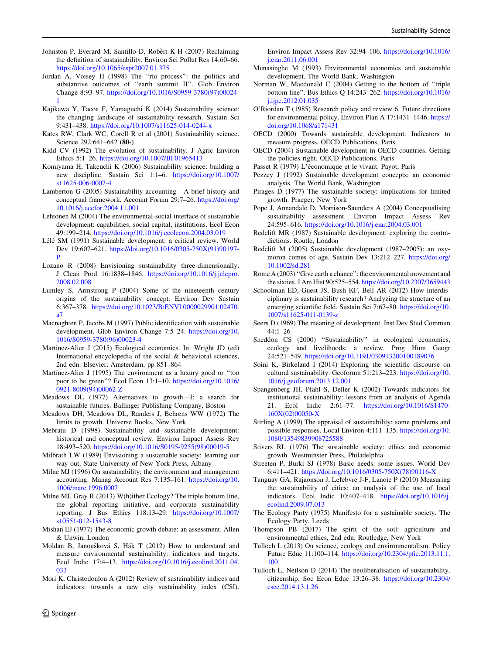- <span id="page-14-0"></span>Johnston P, Everard M, Santillo D, Robert K-H (2007) Reclaiming the definition of sustainability. Environ Sci Pollut Res 14:60–66. <https://doi.org/10.1065/espr2007.01.375>
- Jordan A, Voisey H (1998) The ''rio process'': the politics and substantive outcomes of "earth summit II". Glob Environ Change 8:93–97. [https://doi.org/10.1016/S0959-3780\(97\)00024-](https://doi.org/10.1016/S0959-3780(97)00024-1) [1](https://doi.org/10.1016/S0959-3780(97)00024-1)
- Kajikawa Y, Tacoa F, Yamaguchi K (2014) Sustainability science: the changing landscape of sustainability research. Sustain Sci 9:431–438. <https://doi.org/10.1007/s11625-014-0244-x>
- Kates RW, Clark WC, Corell R et al (2001) Sustainability science. Science 292:641–642 (80-)
- Kidd CV (1992) The evolution of sustainability. J Agric Environ Ethics 5:1–26. <https://doi.org/10.1007/BF01965413>
- Komiyama H, Takeuchi K (2006) Sustainability science: building a new discipline. Sustain Sci 1:1–6. [https://doi.org/10.1007/](https://doi.org/10.1007/s11625-006-0007-4) [s11625-006-0007-4](https://doi.org/10.1007/s11625-006-0007-4)
- Lamberton G (2005) Sustainability accounting A brief history and conceptual framework. Account Forum 29:7–26. [https://doi.org/](https://doi.org/10.1016/j.accfor.2004.11.001) [10.1016/j.accfor.2004.11.001](https://doi.org/10.1016/j.accfor.2004.11.001)
- Lehtonen M (2004) The environmental-social interface of sustainable development: capabilities, social capital, institutions. Ecol Econ 49:199–214. <https://doi.org/10.1016/j.ecolecon.2004.03.019>
- Lélé SM (1991) Sustainable development: a critical review. World Dev 19:607–621. [https://doi.org/10.1016/0305-750X\(91\)90197-](https://doi.org/10.1016/0305-750X(91)90197-P) [P](https://doi.org/10.1016/0305-750X(91)90197-P)
- Lozano R (2008) Envisioning sustainability three-dimensionally. J Clean Prod 16:1838–1846. [https://doi.org/10.1016/j.jclepro.](https://doi.org/10.1016/j.jclepro.2008.02.008) [2008.02.008](https://doi.org/10.1016/j.jclepro.2008.02.008)
- Lumley S, Armstrong P (2004) Some of the nineteenth century origins of the sustainability concept. Environ Dev Sustain 6:367–378. [https://doi.org/10.1023/B:ENVI.0000029901.02470.](https://doi.org/10.1023/B:ENVI.0000029901.02470.a7) [a7](https://doi.org/10.1023/B:ENVI.0000029901.02470.a7)
- Macnaghten P, Jacobs M (1997) Public identification with sustainable development. Glob Environ Change 7:5–24. [https://doi.org/10.](https://doi.org/10.1016/S0959-3780(96)00023-4) [1016/S0959-3780\(96\)00023-4](https://doi.org/10.1016/S0959-3780(96)00023-4)
- Martinez-Alier J (2015) Ecological economics. In: Wright JD (ed) International encyclopedia of the social & behavioral sciences, 2nd edn. Elsevier, Amsterdam, pp 851–864
- Martínez-Alier J (1995) The environment as a luxury good or "too poor to be green''? Ecol Econ 13:1–10. [https://doi.org/10.1016/](https://doi.org/10.1016/0921-8009(94)00062-Z) [0921-8009\(94\)00062-Z](https://doi.org/10.1016/0921-8009(94)00062-Z)
- Meadows DL (1977) Alternatives to growth—I: a search for sustainable futures. Ballinger Publishing Company, Boston
- Meadows DH, Meadows DL, Randers J, Behrens WW (1972) The limits to growth. Universe Books, New York
- Mebratu D (1998) Sustainability and sustainable development: historical and conceptual review. Environ Impact Assess Rev 18:493–520. [https://doi.org/10.1016/S0195-9255\(98\)00019-5](https://doi.org/10.1016/S0195-9255(98)00019-5)
- Milbrath LW (1989) Envisioning a sustainable society: learning our way out. State University of New York Press, Albany
- Milne MJ (1996) On sustainability; the environment and management accounting. Manag Account Res 7:135–161. [https://doi.org/10.](https://doi.org/10.1006/mare.1996.0007) [1006/mare.1996.0007](https://doi.org/10.1006/mare.1996.0007)
- Milne MJ, Gray R (2013) W(h)ither Ecology? The triple bottom line, the global reporting initiative, and corporate sustainability reporting. J Bus Ethics 118:13–29. [https://doi.org/10.1007/](https://doi.org/10.1007/s10551-012-1543-8) [s10551-012-1543-8](https://doi.org/10.1007/s10551-012-1543-8)
- Mishan EJ (1977) The economic growth debate: an assessment. Allen & Unwin, London
- Moldan B, Janoušková S, Hák T (2012) How to understand and measure environmental sustainability: indicators and targets. Ecol Indic 17:4–13. [https://doi.org/10.1016/j.ecolind.2011.04.](https://doi.org/10.1016/j.ecolind.2011.04.033) [033](https://doi.org/10.1016/j.ecolind.2011.04.033)
- Mori K, Christodoulou A (2012) Review of sustainability indices and indicators: towards a new city sustainability index (CSI).

Environ Impact Assess Rev 32:94–106. [https://doi.org/10.1016/](https://doi.org/10.1016/j.eiar.2011.06.001) [j.eiar.2011.06.001](https://doi.org/10.1016/j.eiar.2011.06.001)

- Munasinghe M (1993) Environmental economics and sustainable development. The World Bank, Washington
- Norman W, Macdonald C (2004) Getting to the bottom of ''triple bottom line''. Bus Ethics Q 14:243–262. [https://doi.org/10.1016/](https://doi.org/10.1016/j.ijpe.2012.01.035) [j.ijpe.2012.01.035](https://doi.org/10.1016/j.ijpe.2012.01.035)
- O'Riordan T (1985) Research policy and review 6. Future directions for environmental policy. Environ Plan A 17:1431–1446. [https://](https://doi.org/10.1068/a171431) [doi.org/10.1068/a171431](https://doi.org/10.1068/a171431)
- OECD (2000) Towards sustainable development. Indicators to measure progress. OECD Publications, Paris
- OECD (2004) Sustainable development in OECD countries. Getting the policies right. OECD Publications, Paris
- Passet R (1979) L'économique et le vivant. Payot, Paris
- Pezzey J (1992) Sustainable development concepts: an economic analysis. The World Bank, Washington
- Pirages D (1977) The sustainable society: implications for limited growth. Praeger, New York
- Pope J, Annandale D, Morrison-Saunders A (2004) Conceptualising sustainability assessment. Environ Impact Assess Rev 24:595–616. <https://doi.org/10.1016/j.eiar.2004.03.001>
- Redclift MR (1987) Sustainable development: exploring the contradictions. Routle, London
- Redclift M (2005) Sustainable development (1987–2005): an oxymoron comes of age. Sustain Dev 13:212–227. [https://doi.org/](https://doi.org/10.1002/sd.281) [10.1002/sd.281](https://doi.org/10.1002/sd.281)
- Rome A (2003) ''Give earth a chance'': the environmental movement and the sixties. J Am Hist 90:525–554. <https://doi.org/10.2307/3659443>
- Schoolman ED, Guest JS, Bush KF, Bell AR (2012) How interdisciplinary is sustainability research? Analyzing the structure of an emerging scientific field. Sustain Sci 7:67–80. [https://doi.org/10.](https://doi.org/10.1007/s11625-011-0139-z) [1007/s11625-011-0139-z](https://doi.org/10.1007/s11625-011-0139-z)
- Seers D (1969) The meaning of development. Inst Dev Stud Commun 44:1–26
- Sneddon CS (2000) "Sustainability" in ecological economics, ecology and livelihoods: a review. Prog Hum Geogr 24:521–549. <https://doi.org/10.1191/030913200100189076>
- Soini K, Birkeland I (2014) Exploring the scientific discourse on cultural sustainability. Geoforum 51:213–223. [https://doi.org/10.](https://doi.org/10.1016/j.geoforum.2013.12.001) [1016/j.geoforum.2013.12.001](https://doi.org/10.1016/j.geoforum.2013.12.001)
- Spangenberg JH, Pfahl S, Deller K (2002) Towards indicators for institutional sustainability: lessons from an analysis of Agenda 21. Ecol Indic 2:61–77. [https://doi.org/10.1016/S1470-](https://doi.org/10.1016/S1470-160X(02)00050-X) [160X\(02\)00050-X](https://doi.org/10.1016/S1470-160X(02)00050-X)
- Stirling A (1999) The appraisal of sustainability: some problems and possible responses. Local Environ 4:111–135. [https://doi.org/10.](https://doi.org/10.1080/13549839908725588) [1080/13549839908725588](https://doi.org/10.1080/13549839908725588)
- Stivers RL (1976) The sustainable society: ethics and economic growth. Westminster Press, Philadelphia
- Streeten P, Burki SJ (1978) Basic needs: some issues. World Dev 6:411–421. [https://doi.org/10.1016/0305-750X\(78\)90116-X](https://doi.org/10.1016/0305-750X(78)90116-X)
- Tanguay GA, Rajaonson J, Lefebvre J-F, Lanoie P (2010) Measuring the sustainability of cities: an analysis of the use of local indicators. Ecol Indic 10:407–418. [https://doi.org/10.1016/j.](https://doi.org/10.1016/j.ecolind.2009.07.013) [ecolind.2009.07.013](https://doi.org/10.1016/j.ecolind.2009.07.013)
- The Ecology Party (1975) Manifesto for a sustainable society. The Ecology Party, Leeds
- Thompson PB (2017) The spirit of the soil: agriculture and environmental ethics, 2nd edn. Routledge, New York
- Tulloch L (2013) On science, ecology and environmentalism. Policy Future Educ 11:100–114. [https://doi.org/10.2304/pfie.2013.11.1.](https://doi.org/10.2304/pfie.2013.11.1.100) [100](https://doi.org/10.2304/pfie.2013.11.1.100)
- Tulloch L, Neilson D (2014) The neoliberalisation of sustainability. citizenship. Soc Econ Educ 13:26–38. [https://doi.org/10.2304/](https://doi.org/10.2304/csee.2014.13.1.26) [csee.2014.13.1.26](https://doi.org/10.2304/csee.2014.13.1.26)